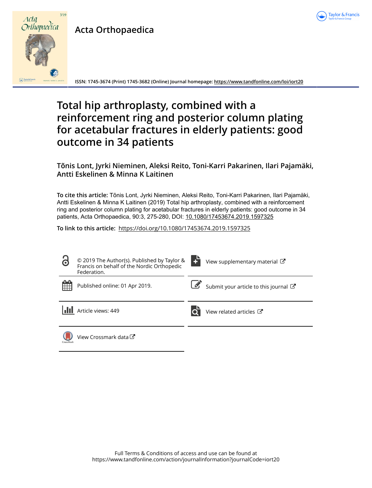

## **Acta Orthopaedica**



**ISSN: 1745-3674 (Print) 1745-3682 (Online) Journal homepage:<https://www.tandfonline.com/loi/iort20>**

# **Total hip arthroplasty, combined with a reinforcement ring and posterior column plating for acetabular fractures in elderly patients: good outcome in 34 patients**

### **Tõnis Lont, Jyrki Nieminen, Aleksi Reito, Toni-Karri Pakarinen, Ilari Pajamäki, Antti Eskelinen & Minna K Laitinen**

**To cite this article:** Tõnis Lont, Jyrki Nieminen, Aleksi Reito, Toni-Karri Pakarinen, Ilari Pajamäki, Antti Eskelinen & Minna K Laitinen (2019) Total hip arthroplasty, combined with a reinforcement ring and posterior column plating for acetabular fractures in elderly patients: good outcome in 34 patients, Acta Orthopaedica, 90:3, 275-280, DOI: [10.1080/17453674.2019.1597325](https://www.tandfonline.com/action/showCitFormats?doi=10.1080/17453674.2019.1597325)

**To link to this article:** <https://doi.org/10.1080/17453674.2019.1597325>

| 8         | © 2019 The Author(s). Published by Taylor &<br>Francis on behalf of the Nordic Orthopedic<br>Federation. | View supplementary material C       |
|-----------|----------------------------------------------------------------------------------------------------------|-------------------------------------|
| 鱛         | Published online: 01 Apr 2019.                                                                           | Submit your article to this journal |
|           | Article views: 449                                                                                       | View related articles C             |
| CrossMark | View Crossmark data C                                                                                    |                                     |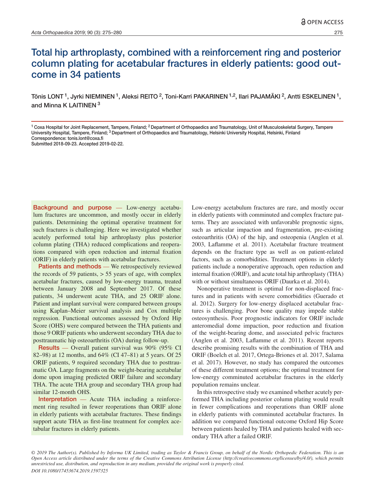### Total hip arthroplasty, combined with a reinforcement ring and posterior column plating for acetabular fractures in elderly patients: good outcome in 34 patients

Tõnis LONT<sup>1</sup>, Jyrki NIEMINEN<sup>1</sup>, Aleksi REITO<sup>2</sup>, Toni-Karri PAKARINEN<sup>1,2</sup>, Ilari PAJAMÄKI<sup>2</sup>, Antti ESKELINEN<sup>1</sup>, and Minna K LAITINEN 3

Background and purpose — Low-energy acetabulum fractures are uncommon, and mostly occur in elderly patients. Determining the optimal operative treatment for such fractures is challenging. Here we investigated whether acutely performed total hip arthroplasty plus posterior column plating (THA) reduced complications and reoperations compared with open reduction and internal fixation (ORIF) in elderly patients with acetabular fractures.

Patients and methods — We retrospectively reviewed the records of 59 patients,  $> 55$  years of age, with complex acetabular fractures, caused by low-energy trauma, treated between January 2008 and September 2017. Of these patients, 34 underwent acute THA, and 25 ORIF alone. Patient and implant survival were compared between groups using Kaplan–Meier survival analysis and Cox multiple regression. Functional outcomes assessed by Oxford Hip Score (OHS) were compared between the THA patients and those 9 ORIF patients who underwent secondary THA due to posttraumatic hip osteoarthritis (OA) during follow-up.

Results — Overall patient survival was 90% (95% CI 82–98) at 12 months, and 64% (CI 47–81) at 5 years. Of 25 ORIF patients, 9 required secondary THA due to posttraumatic OA. Large fragments on the weight-bearing acetabular dome upon imaging predicted ORIF failure and secondary THA. The acute THA group and secondary THA group had similar 12-month OHS.

Interpretation — Acute THA including a reinforcement ring resulted in fewer reoperations than ORIF alone in elderly patients with acetabular fractures. These findings support acute THA as first-line treatment for complex acetabular fractures in elderly patients.

Low-energy acetabulum fractures are rare, and mostly occur in elderly patients with comminuted and complex fracture patterns. They are associated with unfavorable prognostic signs, such as articular impaction and fragmentation, pre-existing osteoarthritis (OA) of the hip, and osteopenia (Anglen et al. 2003, Laflamme et al. 2011). Acetabular fracture treatment depends on the fracture type as well as on patient-related factors, such as comorbidities. Treatment options in elderly patients include a nonoperative approach, open reduction and internal fixation (ORIF), and acute total hip arthroplasty (THA) with or without simultaneous ORIF (Daurka et al. 2014).

Nonoperative treatment is optimal for non-displaced fractures and in patients with severe comorbidities (Guerado et al. 2012). Surgery for low-energy displaced acetabular fractures is challenging. Poor bone quality may impede stable osteosynthesis. Poor prognostic indicators for ORIF include anteromedial dome impaction, poor reduction and fixation of the weight-bearing dome, and associated pelvic fractures (Anglen et al. 2003, Laflamme et al. 2011). Recent reports describe promising results with the combination of THA and ORIF (Boelch et al. 2017, Ortega-Briones et al. 2017, Salama et al. 2017). However, no study has compared the outcomes of these different treatment options; the optimal treatment for low-energy comminuted acetabular fractures in the elderly population remains unclear.

In this retrospective study we examined whether acutely performed THA including posterior column plating would result in fewer complications and reoperations than ORIF alone in elderly patients with comminuted acetabular fractures. In addition we compared functional outcome Oxford Hip Score between patients healed by THA and patients healed with secondary THA after a failed ORIF.

*© 2019 The Author(s). Published by Informa UK Limited, trading as Taylor & Francis Group, on behalf of the Nordic Orthopedic Federation. This is an Open Access article distributed under the terms of the Creative Commons Attribution License (http://creativecommons.org/licenses/by/4.0/), which permits unrestricted use, distribution, and reproduction in any medium, provided the original work is properly cited. DOI 10.1080/17453674.2019.1597325*

<sup>&</sup>lt;sup>1</sup> Coxa Hospital for Joint Replacement, Tampere, Finland; <sup>2</sup> Department of Orthopaedics and Traumatology, Unit of Musculoskeletal Surgery, Tampere University Hospital, Tampere, Finland; <sup>3</sup> Department of Orthopaedics and Traumatology, Helsinki University Hospital, Helsinki, Finland Correspondence: tonis.lont@coxa.fi

Submitted 2018-09-23. Accepted 2019-02-22.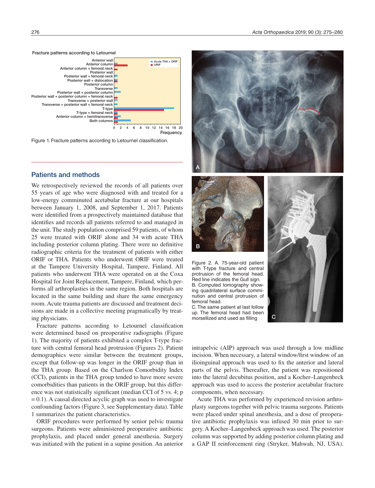276 *Acta Orthopaedica* 2019; 90 (3): 275–280



Figure 1. Fracture patterns according to Letournel classification.

#### Patients and methods

We retrospectively reviewed the records of all patients over 55 years of age who were diagnosed with and treated for a low-energy comminuted acetabular fracture at our hospitals between January 1, 2008, and September 1, 2017. Patients were identified from a prospectively maintained database that identifies and records all patients referred to and managed in the unit. The study population comprised 59 patients, of whom 25 were treated with ORIF alone and 34 with acute THA including posterior column plating. There were no definitive radiographic criteria for the treatment of patients with either ORIF or THA. Patients who underwent ORIF were treated at the Tampere University Hospital, Tampere, Finland. All patients who underwent THA were operated on at the Coxa Hospital for Joint Replacement, Tampere, Finland, which performs all arthroplasties in the same region. Both hospitals are located in the same building and share the same emergency room. Acute trauma patients are discussed and treatment decisions are made in a collective meeting pragmatically by treating physicians.

Fracture patterns according to Letournel classification were determined based on preoperative radiographs (Figure 1). The majority of patients exhibited a complex T-type fracture with central femoral head protrusion (Figures 2). Patient demographics were similar between the treatment groups, except that follow-up was longer in the ORIF group than in the THA group. Based on the Charlson Comorbidity Index (CCI), patients in the THA group tended to have more severe comorbidities than patients in the ORIF group, but this difference was not statistically significant (median CCI of 5 vs. 4; p  $= 0.1$ ). A causal directed acyclic graph was used to investigate confounding factors (Figure 3, see Supplementary data). Table 1 summarizes the patient characteristics.

ORIF procedures were performed by senior pelvic trauma surgeons. Patients were administered preoperative antibiotic prophylaxis, and placed under general anesthesia. Surgery was initiated with the patient in a supine position. An anterior



Figure 2. A. 75-year-old patient with T-type fracture and central protrusion of the femoral head. Red line indicates the Gull sign. B. Computed tomography showing quadrilateral surface comminution and central protrusion of femoral head.

C. The same patient at last follow up. The femoral head had been morsellized and used as filling



intrapelvic (AIP) approach was used through a low midline incision. When necessary, a lateral window/first window of an ilioinguinal approach was used to fix the anterior and lateral parts of the pelvis. Thereafter, the patient was repositioned into the lateral decubitus position, and a Kocher–Langenbeck approach was used to access the posterior acetabular fracture components, when necessary.

Acute THA was performed by experienced revision arthroplasty surgeons together with pelvic trauma surgeons. Patients were placed under spinal anesthesia, and a dose of preoperative antibiotic prophylaxis was infused 30 min prior to surgery. A Kocher–Langenbeck approach was used. The posterior column was supported by adding posterior column plating and a GAP II reinforcement ring (Stryker, Mahwah, NJ, USA).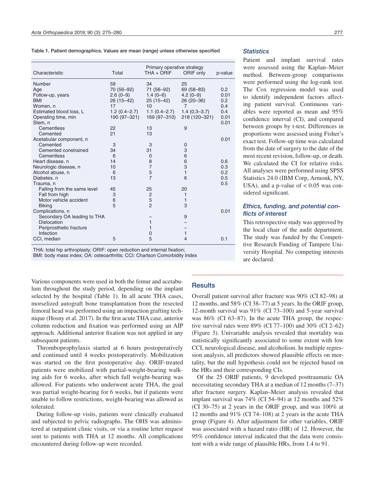Table 1. Patient demographics. Values are mean (range) unless otherwise specified

| Characteristic              | Total            | Primary operative strategy<br>$THA + ORIF$ | ORIF only        | p-value |
|-----------------------------|------------------|--------------------------------------------|------------------|---------|
| Number                      | 59               | 34                                         | 25               |         |
| Age                         | 70 (56–92)       | 71 (56-92)                                 | $69(58 - 83)$    | 0.2     |
| Follow-up, years            | $2.6(0-9)$       | $1.4(0-6)$                                 | $4.2(0-9)$       | 0.01    |
| <b>BMI</b>                  | 26 (15-42)       | $25(15-42)$                                | 26 (20 - 36)     | 0.2     |
| Women, n                    | 17               | 10                                         | $\overline{7}$   | 0.4     |
| Estimated blood loss, L     | $1.2(0.4 - 2.7)$ | $1.1(0.4 - 2.7)$                           | $1.4(0.3 - 3.7)$ | 0.4     |
| Operating time, min         | 190 (97-321)     | 169 (97-310)                               | 218 (120-321)    | 0.01    |
| Stem, n                     |                  |                                            |                  | 0.01    |
| Cementless                  | 22               | 13                                         | 9                |         |
| Cemented                    | 21               | 13                                         |                  |         |
| Acetabular component, n     |                  |                                            |                  | 0.01    |
| Cemented                    | 3                | 3                                          | $\mathbf 0$      |         |
| Cemented constrained        | 34               | 31                                         | 3                |         |
| Cementless                  | 6                | $\Omega$                                   | 6                |         |
| Heart disease, n            | 14               | 8                                          | 6                | 0.6     |
| Neurologic disease, n       | 10               | $\overline{7}$                             | 3                | 0.3     |
| Alcohol abuse, n            | 6                | 5                                          | $\mathbf{1}$     | 0.2     |
| Diabetes, n                 | 13               | $\overline{7}$                             | 6                | 0.5     |
| Trauma, n                   |                  |                                            |                  | 0.5     |
| Falling from the same level | 45               | 25                                         | 20               |         |
| Fall from high              | 3                | $\overline{c}$                             | 1                |         |
| Motor vehicle accident      | 6                | 5                                          | 1                |         |
| <b>Biking</b>               | 5                | $\overline{a}$                             | 3                |         |
| Complications, n            |                  |                                            |                  | 0.01    |
| Secondary OA leading to THA |                  |                                            | 9                |         |
| <b>Dislocation</b>          |                  | 1                                          |                  |         |
| Periprosthetic fracture     |                  | 1                                          |                  |         |
| Infection                   |                  | 0                                          | $\mathbf{1}$     |         |
| CCI, median                 | 5                | 5                                          | $\overline{4}$   | 0.1     |

THA: total hip arthroplasty; ORIF: open reduction and internal fixation;

BMI: body mass index; OA: osteoarthritis; CCI: Charlson Comorbidity Index

Various components were used in both the femur and acetabulum throughout the study period, depending on the implant selected by the hospital (Table 1). In all acute THA cases, morselized autograft bone transplantation from the resected femoral head was performed using an impaction grafting technique (Hosny et al. 2017). In the first acute THA case, anterior column reduction and fixation was performed using an AIP approach. Additional anterior fixation was not applied in any subsequent patients.

Thromboprophylaxis started at 6 hours postoperatively and continued until 4 weeks postoperatively. Mobilization was started on the first postoperative day. ORIF-treated patients were mobilized with partial-weight-bearing walking aids for 6 weeks, after which full weight-bearing was allowed. For patients who underwent acute THA, the goal was partial weight-bearing for 6 weeks, but if patients were unable to follow restrictions, weight-bearing was allowed as tolerated.

During follow-up visits, patients were clinically evaluated and subjected to pelvic radiographs. The OHS was administered at outpatient clinic visits, or via a routine letter request sent to patients with THA at 12 months. All complications encountered during follow-up were recorded.

#### *Statistics*

Patient and implant survival rates were assessed using the Kaplan–Meier method. Between-group comparisons were performed using the log-rank test. The Cox regression model was used to identify independent factors affecting patient survival. Continuous variables were reported as mean and 95% confidence interval (CI), and compared between groups by t-test. Differences in proportions were assessed using Fisher's exact test. Follow-up time was calculated from the date of surgery to the date of the most recent revision, follow-up, or death. We calculated the CI for relative risks. All analyses were performed using SPSS Statistics 24.0 (IBM Corp, Armonk, NY, USA), and a p-value of  $< 0.05$  was considered significant.

#### *Ethics, funding, and potential conflicts of interest*

This retrospective study was approved by the local chair of the audit department. The study was funded by the Competitive Research Funding of Tampere University Hospital. No competing interests are declared.

#### **Results**

Overall patient survival after fracture was 90% (CI 82–98) at 12 months, and 58% (CI 38–77) at 5 years. In the ORIF group, 12-month survival was 91% (CI 73–100) and 5-year survival was 86% (CI 63–87). In the acute THA group, the respective survival rates were 89% (CI 77–100) and 30% (CI 2–62) (Figure 3). Univariable analysis revealed that mortality was statistically significantly associated to some extent with low CCI, neurological disease, and alcoholism. In multiple regression analysis, all predictors showed plausible effects on mortality, but the null hypothesis could not be rejected based on the HRs and their corresponding CIs.

Of the 25 ORIF patients, 9 developed posttraumatic OA necessitating secondary THA at a median of 12 months (7–37) after fracture surgery. Kaplan–Meier analysis revealed that implant survival was 74% (CI 54–94) at 12 months and 52% (CI 30–75) at 2 years in the ORIF group, and was 100% at 12 months and 91% (CI 74–108) at 2 years in the acute THA group (Figure 4). After adjustment for other variables, ORIF was associated with a hazard ratio (HR) of 12. However, the 95% confidence interval indicated that the data were consistent with a wide range of plausible HRs, from 1.4 to 91.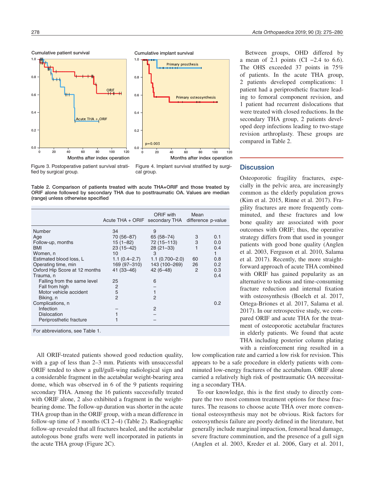Cumulative patient survival





Figure 3. Postoperative patient survival stratified by surgical group.

Figure 4. Implant survival stratified by surgical group.

Table 2. Comparison of patients treated with acute THA+ORIF and those treated by ORIF alone followed by secondary THA due to posttraumatic OA. Values are median (range) unless otherwise specified

|                                 | Acute THA + ORIF secondary THA difference p-value | ORIF with          | Mean |     |  |  |  |
|---------------------------------|---------------------------------------------------|--------------------|------|-----|--|--|--|
| Number                          | 34                                                | 9                  |      |     |  |  |  |
| Age                             | 70 (56–87)                                        | 65 (58-74)         | 3    | 0.1 |  |  |  |
| Follow-up, months               | 15 (1–82)                                         | 72 (15-113)        | 3    | 0.0 |  |  |  |
| <b>BMI</b>                      | 23 (15–42)                                        | $28(21-33)$        |      | 0.4 |  |  |  |
| Women, n                        | 10                                                | 3                  |      |     |  |  |  |
| Estimated blood loss, L         | $1.1(0.4 - 2.7)$                                  | $1.1(0.700 - 2.0)$ | 60   | 0.8 |  |  |  |
| Operating time, min             | 169 (97-310)                                      | 143 (100-269)      | 26   | 0.2 |  |  |  |
| Oxford Hip Score at 12 months   | $41(33 - 46)$                                     | $42(6 - 48)$       | 2    | 0.3 |  |  |  |
| Trauma, n                       |                                                   |                    |      | 0.4 |  |  |  |
| Falling from the same level     | 25                                                | 6                  |      |     |  |  |  |
| Fall from high                  | 2                                                 |                    |      |     |  |  |  |
| Motor vehicle accident          | 5                                                 |                    |      |     |  |  |  |
| Biking, n                       | $\overline{2}$                                    | $\overline{2}$     |      |     |  |  |  |
| Complications, n                |                                                   |                    |      | 0.2 |  |  |  |
| Infection                       |                                                   | $\overline{2}$     |      |     |  |  |  |
| <b>Dislocation</b>              |                                                   |                    |      |     |  |  |  |
| Periprosthetic fracture         |                                                   |                    |      |     |  |  |  |
| For abbreviations, see Table 1. |                                                   |                    |      |     |  |  |  |

All ORIF-treated patients showed good reduction quality, with a gap of less than 2–3 mm. Patients with unsuccessful ORIF tended to show a gull/gull-wing radiological sign and a considerable fragment in the acetabular weight-bearing area dome, which was observed in 6 of the 9 patients requiring secondary THA. Among the 16 patients successfully treated with ORIF alone, 2 also exhibited a fragment in the weightbearing dome. The follow-up duration was shorter in the acute THA group than in the ORIF group, with a mean difference in follow-up time of 3 months (CI 2–4) (Table 2). Radiographic follow-up revealed that all fractures healed, and the acetabular autologous bone grafts were well incorporated in patients in the acute THA group (Figure 2C).

Between groups, OHD differed by a mean of 2.1 points (CI  $-2.4$  to 6.6). The OHS exceeded 37 points in 75% of patients. In the acute THA group, 2 patients developed complications: 1 patient had a periprosthetic fracture leading to femoral component revision, and 1 patient had recurrent dislocations that were treated with closed reductions. In the secondary THA group, 2 patients developed deep infections leading to two-stage revision arthroplasty. These groups are compared in Table 2.

#### **Discussion**

Osteoporotic fragility fractures, especially in the pelvic area, are increasingly common as the elderly population grows (Kim et al. 2015, Rinne et al. 2017). Fragility fractures are more frequently comminuted, and these fractures and low bone quality are associated with poor outcomes with ORIF; thus, the operative strategy differs from that used in younger patients with good bone quality (Anglen et al. 2003, Ferguson et al. 2010, Salama et al. 2017). Recently, the more straightforward approach of acute THA combined with ORIF has gained popularity as an alternative to tedious and time-consuming fracture reduction and internal fixation with osteosynthesis (Boelch et al. 2017, Ortega-Briones et al. 2017, Salama et al. 2017). In our retrospective study, we compared ORIF and acute THA for the treatment of osteoporotic acetabular fractures in elderly patients. We found that acute THA including posterior column plating with a reinforcement ring resulted in a

low complication rate and carried a low risk for revision. This appears to be a safe procedure in elderly patients with comminuted low-energy fractures of the acetabulum. ORIF alone carried a relatively high risk of posttraumatic OA necessitating a secondary THA.

To our knowledge, this is the first study to directly compare the two most common treatment options for these fractures. The reasons to choose acute THA over more conventional osteosynthesis may not be obvious. Risk factors for osteosynthesis failure are poorly defined in the literature, but generally include marginal impaction, femoral head damage, severe fracture comminution, and the presence of a gull sign (Anglen et al. 2003, Kreder et al. 2006, Gary et al. 2011,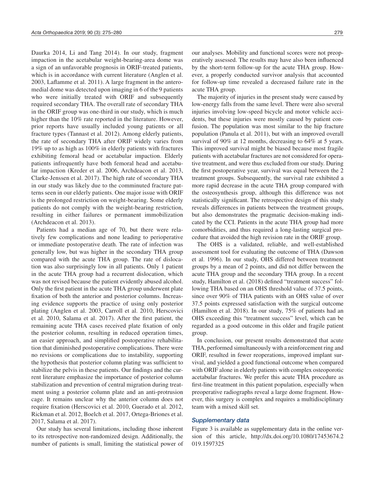Daurka 2014, Li and Tang 2014). In our study, fragment impaction in the acetabular weight-bearing-area dome was a sign of an unfavorable prognosis in ORIF-treated patients, which is in accordance with current literature (Anglen et al. 2003, Laflamme et al. 2011). A large fragment in the anteromedial dome was detected upon imaging in 6 of the 9 patients who were initially treated with ORIF and subsequently required secondary THA. The overall rate of secondary THA in the ORIF group was one-third in our study, which is much higher than the 10% rate reported in the literature. However, prior reports have usually included young patients or all fracture types (Tannast et al. 2012). Among elderly patients, the rate of secondary THA after ORIF widely varies from 19% up to as high as 100% in elderly patients with fractures exhibiting femoral head or acetabular impaction. Elderly patients infrequently have both femoral head and acetabular impaction (Kreder et al. 2006, Archdeacon et al. 2013, Clarke-Jenssen et al. 2017). The high rate of secondary THA in our study was likely due to the comminuted fracture patterns seen in our elderly patients. One major issue with ORIF is the prolonged restriction on weight-bearing. Some elderly patients do not comply with the weight-bearing restriction, resulting in either failures or permanent immobilization (Archdeacon et al. 2013).

Patients had a median age of 70, but there were relatively few complications and none leading to perioperative or immediate postoperative death. The rate of infection was generally low, but was higher in the secondary THA group compared with the acute THA group. The rate of dislocation was also surprisingly low in all patients. Only 1 patient in the acute THA group had a recurrent dislocation, which was not revised because the patient evidently abused alcohol. Only the first patient in the acute THA group underwent plate fixation of both the anterior and posterior columns. Increasing evidence supports the practice of using only posterior plating (Anglen et al. 2003, Carroll et al. 2010, Herscovici et al. 2010, Salama et al. 2017). After the first patient, the remaining acute THA cases received plate fixation of only the posterior column, resulting in reduced operation times, an easier approach, and simplified postoperative rehabilitation that diminished postoperative complications. There were no revisions or complications due to instability, supporting the hypothesis that posterior column plating was sufficient to stabilize the pelvis in these patients. Our findings and the current literature emphasize the importance of posterior column stabilization and prevention of central migration during treatment using a posterior column plate and an anti-protrusion cage. It remains unclear why the anterior column does not require fixation (Herscovici et al. 2010, Guerado et al. 2012, Rickman et al. 2012, Boelch et al. 2017, Ortega-Briones et al. 2017, Salama et al. 2017).

Our study has several limitations, including those inherent to its retrospective non-randomized design. Additionally, the number of patients is small, limiting the statistical power of our analyses. Mobility and functional scores were not preoperatively assessed. The results may have also been influenced by the short-term follow-up for the acute THA group. However, a properly conducted survivor analysis that accounted for follow-up time revealed a decreased failure rate in the acute THA group.

The majority of injuries in the present study were caused by low-energy falls from the same level. There were also several injuries involving low-speed bicycle and motor vehicle accidents, but these injuries were mostly caused by patient confusion. The population was most similar to the hip fracture population (Panula et al. 2011), but with an improved overall survival of 90% at 12 months, decreasing to 64% at 5 years. This improved survival might be biased because most fragile patients with acetabular fractures are not considered for operative treatment, and were thus excluded from our study. During the first postoperative year, survival was equal between the 2 treatment groups. Subsequently, the survival rate exhibited a more rapid decrease in the acute THA group compared with the osteosynthesis group, although this difference was not statistically significant. The retrospective design of this study reveals differences in patients between the treatment groups, but also demonstrates the pragmatic decision-making indicated by the CCI. Patients in the acute THA group had more comorbidities, and thus required a long-lasting surgical procedure that avoided the high revision rate in the ORIF group.

The OHS is a validated, reliable, and well-established assessment tool for evaluating the outcome of THA (Dawson et al. 1996). In our study, OHS differed between treatment groups by a mean of 2 points, and did not differ between the acute THA group and the secondary THA group. In a recent study, Hamilton et al. (2018) defined "treatment success" following THA based on an OHS threshold value of 37.5 points, since over 90% of THA patients with an OHS value of over 37.5 points expressed satisfaction with the surgical outcome (Hamilton et al. 2018). In our study, 75% of patients had an OHS exceeding this "treatment success" level, which can be regarded as a good outcome in this older and fragile patient group.

In conclusion, our present results demonstrated that acute THA, performed simultaneously with a reinforcement ring and ORIF, resulted in fewer reoperations, improved implant survival, and yielded a good functional outcome when compared with ORIF alone in elderly patients with complex osteoporotic acetabular fractures. We prefer this acute THA procedure as first-line treatment in this patient population, especially when preoperative radiographs reveal a large dome fragment. However, this surgery is complex and requires a multidisciplinary team with a mixed skill set.

#### *Supplementary data*

Figure 3 is available as supplementary data in the online version of this article, http://dx.doi.org/10.1080/17453674.2 019.1597325